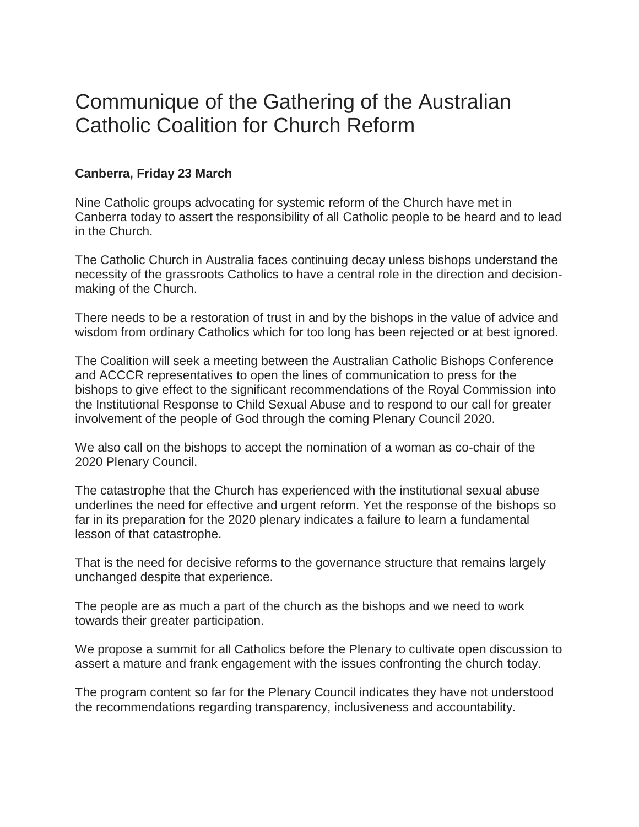## Communique of the Gathering of the Australian Catholic Coalition for Church Reform

## **Canberra, Friday 23 March**

Nine Catholic groups advocating for systemic reform of the Church have met in Canberra today to assert the responsibility of all Catholic people to be heard and to lead in the Church.

The Catholic Church in Australia faces continuing decay unless bishops understand the necessity of the grassroots Catholics to have a central role in the direction and decisionmaking of the Church.

There needs to be a restoration of trust in and by the bishops in the value of advice and wisdom from ordinary Catholics which for too long has been rejected or at best ignored.

The Coalition will seek a meeting between the Australian Catholic Bishops Conference and ACCCR representatives to open the lines of communication to press for the bishops to give effect to the significant recommendations of the Royal Commission into the Institutional Response to Child Sexual Abuse and to respond to our call for greater involvement of the people of God through the coming Plenary Council 2020.

We also call on the bishops to accept the nomination of a woman as co-chair of the 2020 Plenary Council.

The catastrophe that the Church has experienced with the institutional sexual abuse underlines the need for effective and urgent reform. Yet the response of the bishops so far in its preparation for the 2020 plenary indicates a failure to learn a fundamental lesson of that catastrophe.

That is the need for decisive reforms to the governance structure that remains largely unchanged despite that experience.

The people are as much a part of the church as the bishops and we need to work towards their greater participation.

We propose a summit for all Catholics before the Plenary to cultivate open discussion to assert a mature and frank engagement with the issues confronting the church today.

The program content so far for the Plenary Council indicates they have not understood the recommendations regarding transparency, inclusiveness and accountability.